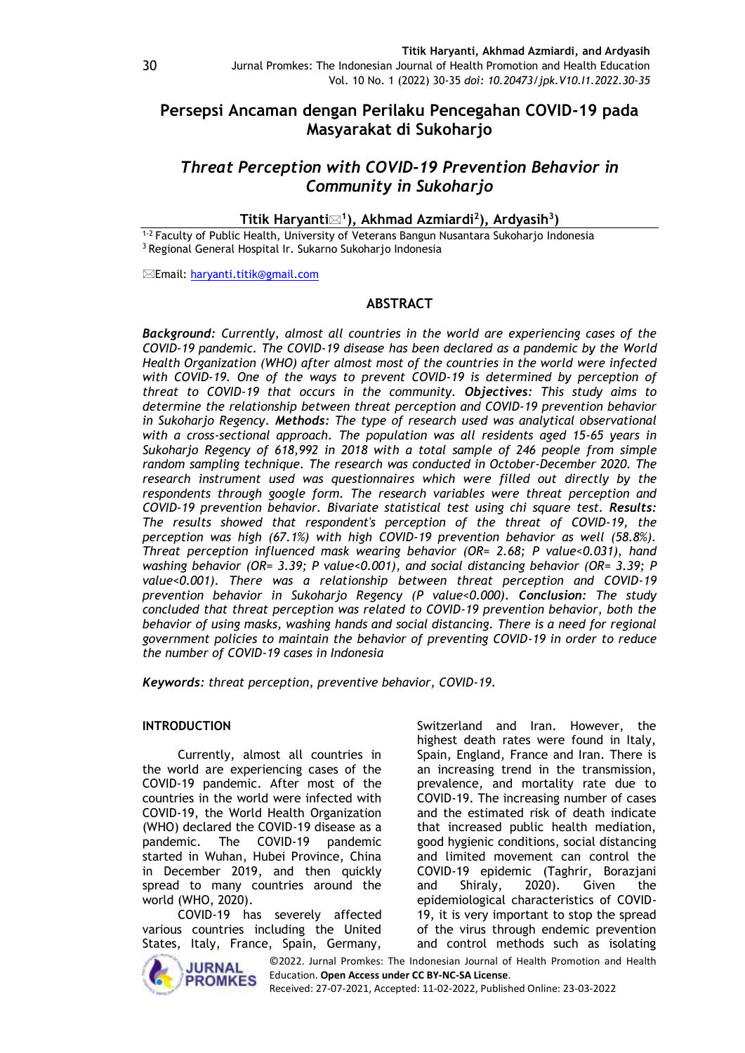# **Persepsi Ancaman dengan Perilaku Pencegahan COVID-19 pada Masyarakat di Sukoharjo**

# *Threat Perception with COVID-19 Prevention Behavior in Community in Sukoharjo*

**Titik Haryanti<sup>1</sup> ), Akhmad Azmiardi<sup>2</sup> ), Ardyasih<sup>3</sup> )**

1-2 Faculty of Public Health, University of Veterans Bangun Nusantara Sukoharjo Indonesia <sup>3</sup> Regional General Hospital Ir. Sukarno Sukoharjo Indonesia

Email: [haryanti.titik@gmail.com](mailto:haryanti.titik@gmail.com)

# **ABSTRACT**

*Background: Currently, almost all countries in the world are experiencing cases of the COVID-19 pandemic. The COVID-19 disease has been declared as a pandemic by the World Health Organization (WHO) after almost most of the countries in the world were infected with COVID-19. One of the ways to prevent COVID-19 is determined by perception of threat to COVID-19 that occurs in the community. Objectives: This study aims to determine the relationship between threat perception and COVID-19 prevention behavior in Sukoharjo Regency. Methods: The type of research used was analytical observational with a cross-sectional approach. The population was all residents aged 15-65 years in Sukoharjo Regency of 618,992 in 2018 with a total sample of 246 people from simple random sampling technique. The research was conducted in October-December 2020. The research instrument used was questionnaires which were filled out directly by the respondents through google form. The research variables were threat perception and COVID-19 prevention behavior. Bivariate statistical test using chi square test. Results: The results showed that respondent's perception of the threat of COVID-19, the perception was high (67.1%) with high COVID-19 prevention behavior as well (58.8%). Threat perception influenced mask wearing behavior (OR= 2.68; P value<0.031), hand washing behavior (OR= 3.39; P value<0.001), and social distancing behavior (OR= 3.39; P value<0.001). There was a relationship between threat perception and COVID-19 prevention behavior in Sukoharjo Regency (P value<0.000). Conclusion: The study concluded that threat perception was related to COVID-19 prevention behavior, both the behavior of using masks, washing hands and social distancing. There is a need for regional government policies to maintain the behavior of preventing COVID-19 in order to reduce the number of COVID-19 cases in Indonesia*

*Keywords: threat perception, preventive behavior, COVID-19.*

# **INTRODUCTION**

Currently, almost all countries in the world are experiencing cases of the COVID-19 pandemic. After most of the countries in the world were infected with COVID-19, the World Health Organization (WHO) declared the COVID-19 disease as a pandemic. The COVID-19 pandemic started in Wuhan, Hubei Province, China in December 2019, and then quickly spread to many countries around the world (WHO, 2020).

COVID-19 has severely affected various countries including the United States, Italy, France, Spain, Germany,



Switzerland and Iran. However, the highest death rates were found in Italy, Spain, England, France and Iran. There is an increasing trend in the transmission, prevalence, and mortality rate due to COVID-19. The increasing number of cases and the estimated risk of death indicate that increased public health mediation, good hygienic conditions, social distancing and limited movement can control the COVID-19 epidemic (Taghrir, Borazjani and Shiraly, 2020). Given the epidemiological characteristics of COVID-19, it is very important to stop the spread of the virus through endemic prevention and control methods such as isolating

©2022. Jurnal Promkes: The Indonesian Journal of Health Promotion and Health Education. **Open Access under CC BY-NC-SA License**. Received: 27-07-2021, Accepted: 11-02-2022, Published Online: 23-03-2022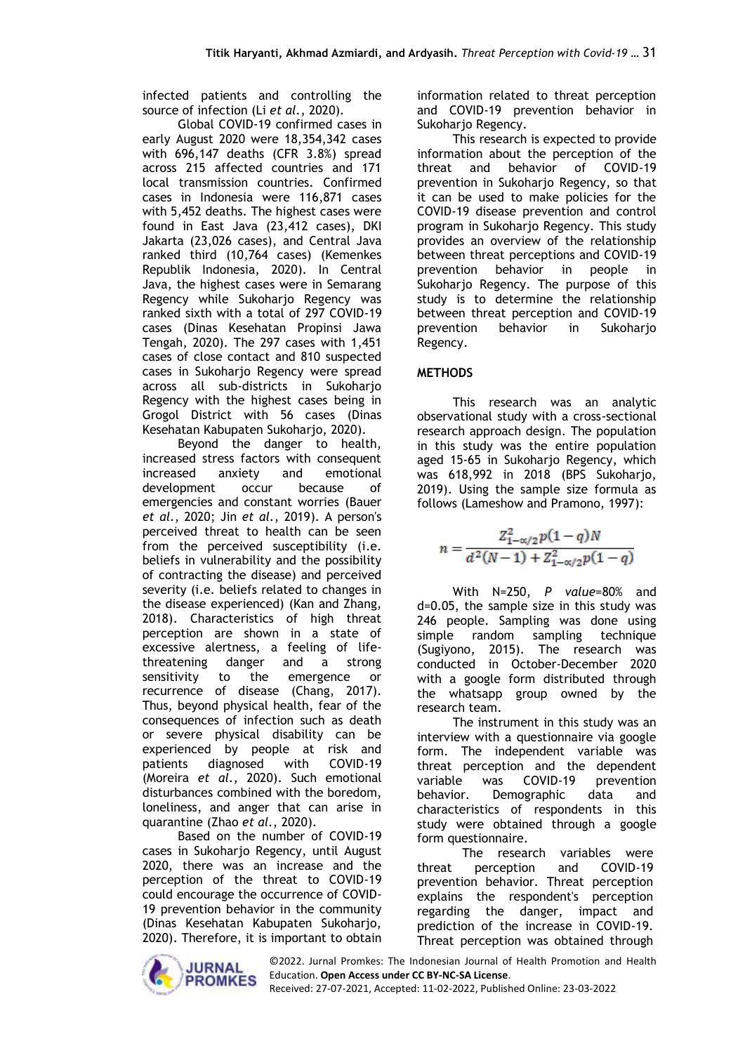infected patients and controlling the source of infection (Li *et al.*, 2020).

Global COVID-19 confirmed cases in early August 2020 were 18,354,342 cases with 696,147 deaths (CFR 3.8%) spread across 215 affected countries and 171 local transmission countries. Confirmed cases in Indonesia were 116,871 cases with 5,452 deaths. The highest cases were found in East Java (23,412 cases), DKI Jakarta (23,026 cases), and Central Java ranked third (10,764 cases) (Kemenkes Republik Indonesia, 2020). In Central Java, the highest cases were in Semarang Regency while Sukoharjo Regency was ranked sixth with a total of 297 COVID-19 cases (Dinas Kesehatan Propinsi Jawa Tengah, 2020). The 297 cases with 1,451 cases of close contact and 810 suspected cases in Sukoharjo Regency were spread across all sub-districts in Sukoharjo Regency with the highest cases being in Grogol District with 56 cases (Dinas Kesehatan Kabupaten Sukoharjo, 2020).

Beyond the danger to health, increased stress factors with consequent increased anxiety and emotional development occur because of emergencies and constant worries (Bauer *et al.*, 2020; Jin *et al.*, 2019). A person's perceived threat to health can be seen from the perceived susceptibility (i.e. beliefs in vulnerability and the possibility of contracting the disease) and perceived severity (i.e. beliefs related to changes in the disease experienced) (Kan and Zhang, 2018). Characteristics of high threat perception are shown in a state of excessive alertness, a feeling of lifethreatening danger and a strong sensitivity to the emergence or recurrence of disease (Chang, 2017). Thus, beyond physical health, fear of the consequences of infection such as death or severe physical disability can be experienced by people at risk and patients diagnosed with COVID-19 (Moreira *et al.*, 2020). Such emotional disturbances combined with the boredom, loneliness, and anger that can arise in quarantine (Zhao *et al.*, 2020).

Based on the number of COVID-19 cases in Sukoharjo Regency, until August 2020, there was an increase and the perception of the threat to COVID-19 could encourage the occurrence of COVID-19 prevention behavior in the community (Dinas Kesehatan Kabupaten Sukoharjo, 2020). Therefore, it is important to obtain information related to threat perception and COVID-19 prevention behavior in Sukoharjo Regency.

This research is expected to provide information about the perception of the threat and behavior of COVID-19 prevention in Sukoharjo Regency, so that it can be used to make policies for the COVID-19 disease prevention and control program in Sukoharjo Regency. This study provides an overview of the relationship between threat perceptions and COVID-19 prevention behavior in people in Sukoharjo Regency. The purpose of this study is to determine the relationship between threat perception and COVID-19 prevention behavior in Sukoharjo Regency.

# **METHODS**

This research was an analytic observational study with a cross-sectional research approach design. The population in this study was the entire population aged 15-65 in Sukoharjo Regency, which was 618,992 in 2018 (BPS Sukoharjo, 2019). Using the sample size formula as follows (Lameshow and Pramono, 1997):

$$
n = \frac{Z_{1-\alpha/2}^2 p(1-q)N}{d^2(N-1) + Z_{1-\alpha/2}^2 p(1-q)}
$$

With N=250, *P value*=80% and d=0.05, the sample size in this study was 246 people. Sampling was done using simple random sampling technique (Sugiyono, 2015). The research was conducted in October-December 2020 with a google form distributed through the whatsapp group owned by the research team.

The instrument in this study was an interview with a questionnaire via google form. The independent variable was threat perception and the dependent variable was COVID-19 prevention behavior. Demographic data and characteristics of respondents in this study were obtained through a google form questionnaire.

The research variables were threat perception and COVID-19 prevention behavior. Threat perception explains the respondent's perception regarding the danger, impact and prediction of the increase in COVID-19. Threat perception was obtained through



©2022. Jurnal Promkes: The Indonesian Journal of Health Promotion and Health Education. **Open Access under CC BY-NC-SA License**.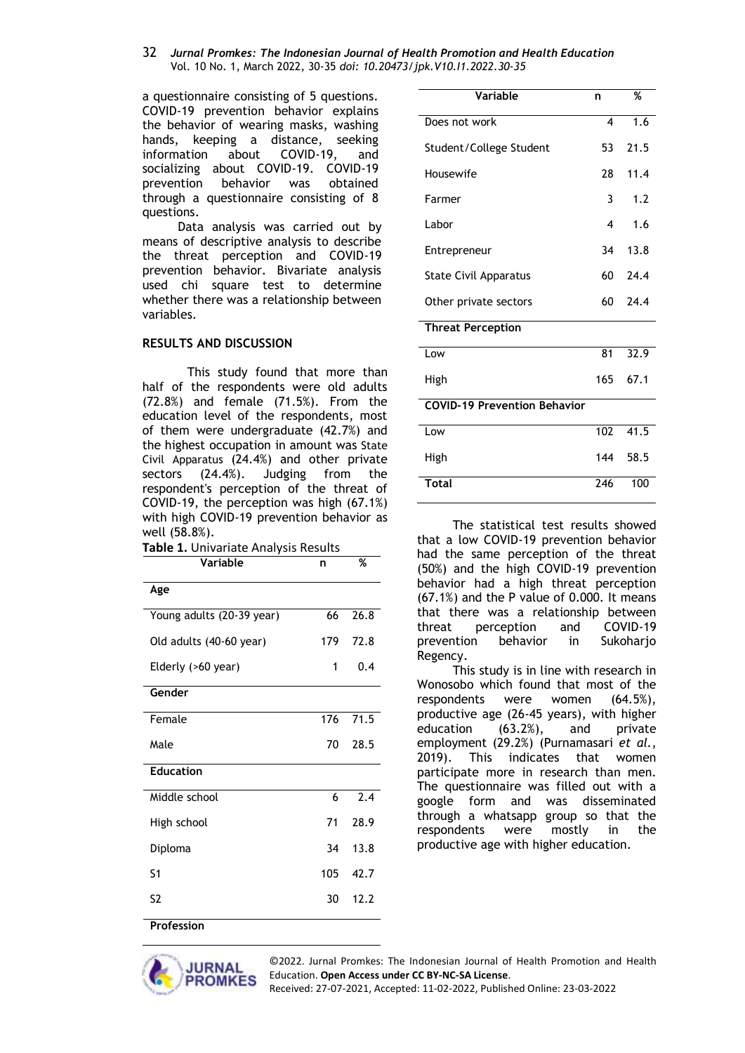#### 32 *Jurnal Promkes: The Indonesian Journal of Health Promotion and Health Education* Vol. 10 No. 1, March 2022, 30-35 *doi: 10.20473/jpk.V10.I1.2022.30-35*

a questionnaire consisting of 5 questions. COVID-19 prevention behavior explains the behavior of wearing masks, washing hands, keeping a distance, seeking information about COVID-19, and socializing about COVID-19. COVID-19 prevention behavior was obtained through a questionnaire consisting of 8 questions.

Data analysis was carried out by means of descriptive analysis to describe the threat perception and COVID-19 prevention behavior. Bivariate analysis used chi square test to determine whether there was a relationship between variables.

### **RESULTS AND DISCUSSION**

This study found that more than half of the respondents were old adults (72.8%) and female (71.5%). From the education level of the respondents, most of them were undergraduate (42.7%) and the highest occupation in amount was State Civil Apparatus (24.4%) and other private sectors (24.4%). Judging from the respondent's perception of the threat of COVID-19, the perception was high (67.1%) with high COVID-19 prevention behavior as well (58.8%).

| Variable                  | n   | %                |
|---------------------------|-----|------------------|
| Age                       |     |                  |
| Young adults (20-39 year) | 66  | 26.8             |
| Old adults (40-60 year)   | 179 | 72.8             |
| Elderly (>60 year)        | 1   | 0.4              |
| Gender                    |     |                  |
| Female                    | 176 | 71.5             |
| Male                      | 70  | 28.5             |
| <b>Education</b>          |     |                  |
| Middle school             | 6   | $\overline{2.4}$ |
| High school               | 71  | 28.9             |
| Diploma                   | 34  | 13.8             |
| S <sub>1</sub>            | 105 | 42.7             |
| S <sub>2</sub>            | 30  | 12.2             |
| Profession                |     |                  |

| Variable                            |                  | %    |
|-------------------------------------|------------------|------|
|                                     | n                |      |
| Does not work                       | $\boldsymbol{4}$ | 1.6  |
| Student/College Student             | 53               | 21.5 |
| Housewife                           | 28               | 11.4 |
| Farmer                              | 3                | 1.2  |
| Labor                               | 4                | 1.6  |
| Entrepreneur                        | 34               | 13.8 |
| <b>State Civil Apparatus</b>        | 60               | 24.4 |
| Other private sectors               | 60               | 24.4 |
| <b>Threat Perception</b>            |                  |      |
| Low                                 | 81               | 32.9 |
| High                                | 165              | 67.1 |
| <b>COVID-19 Prevention Behavior</b> |                  |      |
| Low                                 | 102              | 41.5 |
| High                                | 144              | 58.5 |
| <b>Total</b>                        | 246              | 100  |
|                                     |                  |      |

The statistical test results showed that a low COVID-19 prevention behavior had the same perception of the threat (50%) and the high COVID-19 prevention behavior had a high threat perception (67.1%) and the P value of 0.000. It means that there was a relationship between threat perception and COVID-19 prevention behavior in Sukoharjo Regency.

This study is in line with research in Wonosobo which found that most of the respondents were women (64.5%), productive age (26-45 years), with higher education (63.2%), and private employment (29.2%) (Purnamasari *et al.*, 2019). This indicates that women participate more in research than men. The questionnaire was filled out with a google form and was disseminated through a whatsapp group so that the respondents were mostly in the productive age with higher education.

**JURNAI** 

**PROMKES** 

©2022. Jurnal Promkes: The Indonesian Journal of Health Promotion and Health Education. **Open Access under CC BY-NC-SA License**.

Received: 27-07-2021, Accepted: 11-02-2022, Published Online: 23-03-2022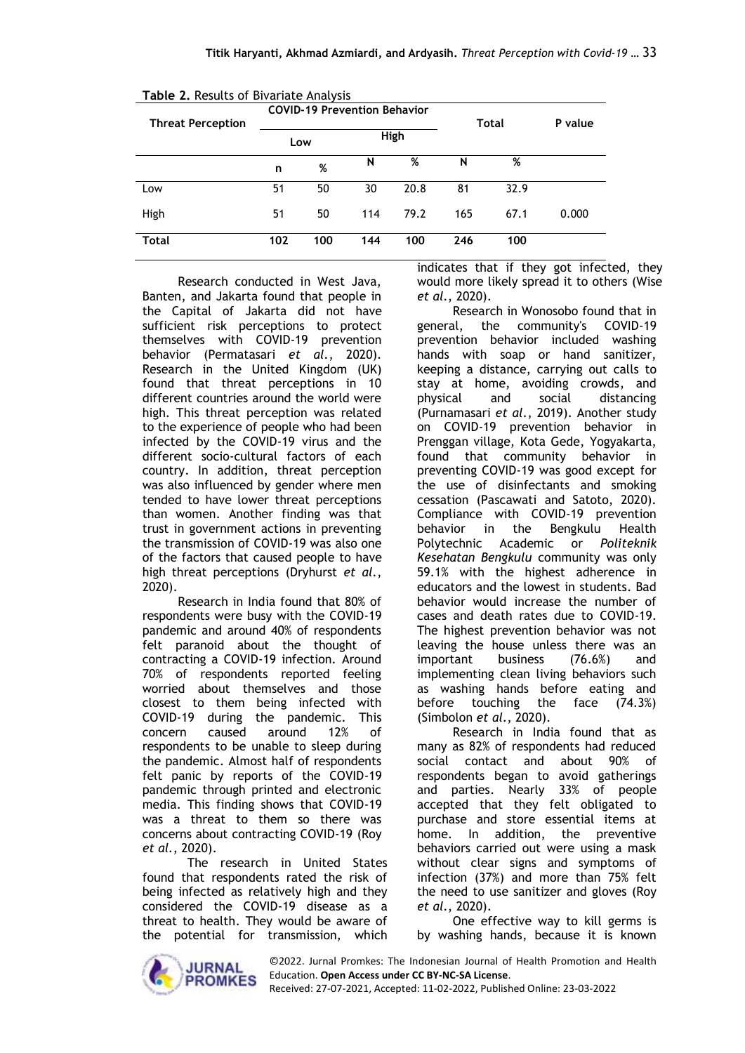| <b>Table 2.</b> Results of Bivariate Analysis |                                     |             |     |      |     |      |         |
|-----------------------------------------------|-------------------------------------|-------------|-----|------|-----|------|---------|
|                                               | <b>COVID-19 Prevention Behavior</b> |             |     |      |     |      |         |
| <b>Threat Perception</b>                      | Total                               |             |     |      |     |      | P value |
|                                               |                                     | High<br>Low |     |      |     |      |         |
|                                               | n                                   | %           | N   | %    | N   | %    |         |
| Low                                           | 51                                  | 50          | 30  | 20.8 | 81  | 32.9 |         |
| High                                          | 51                                  | 50          | 114 | 79.2 | 165 | 67.1 | 0.000   |
| Total                                         | 102                                 | 100         | 144 | 100  | 246 | 100  |         |

**Table 2.** Results of Bivariate Analysis

Research conducted in West Java, Banten, and Jakarta found that people in the Capital of Jakarta did not have sufficient risk perceptions to protect themselves with COVID-19 prevention behavior (Permatasari *et al.*, 2020). Research in the United Kingdom (UK) found that threat perceptions in 10 different countries around the world were high. This threat perception was related to the experience of people who had been infected by the COVID-19 virus and the different socio-cultural factors of each country. In addition, threat perception was also influenced by gender where men tended to have lower threat perceptions than women. Another finding was that trust in government actions in preventing the transmission of COVID-19 was also one of the factors that caused people to have high threat perceptions (Dryhurst *et al.*, 2020).

Research in India found that 80% of respondents were busy with the COVID-19 pandemic and around 40% of respondents felt paranoid about the thought of contracting a COVID-19 infection. Around 70% of respondents reported feeling worried about themselves and those closest to them being infected with COVID-19 during the pandemic. This concern caused around 12% of respondents to be unable to sleep during the pandemic. Almost half of respondents felt panic by reports of the COVID-19 pandemic through printed and electronic media. This finding shows that COVID-19 was a threat to them so there was concerns about contracting COVID-19 (Roy *et al.*, 2020).

The research in United States found that respondents rated the risk of being infected as relatively high and they considered the COVID-19 disease as a threat to health. They would be aware of the potential for transmission, which indicates that if they got infected, they would more likely spread it to others (Wise *et al.*, 2020).

Research in Wonosobo found that in general, the community's COVID-19 prevention behavior included washing hands with soap or hand sanitizer, keeping a distance, carrying out calls to stay at home, avoiding crowds, and physical and social distancing (Purnamasari *et al.*, 2019). Another study on COVID-19 prevention behavior in Prenggan village, Kota Gede, Yogyakarta, found that community behavior in preventing COVID-19 was good except for the use of disinfectants and smoking cessation (Pascawati and Satoto, 2020). Compliance with COVID-19 prevention behavior in the Bengkulu Health Polytechnic Academic or *Politeknik Kesehatan Bengkulu* community was only 59.1% with the highest adherence in educators and the lowest in students. Bad behavior would increase the number of cases and death rates due to COVID-19. The highest prevention behavior was not leaving the house unless there was an important business (76.6%) and implementing clean living behaviors such as washing hands before eating and before touching the face (74.3%) (Simbolon *et al.*, 2020).

Research in India found that as many as 82% of respondents had reduced social contact and about 90% of respondents began to avoid gatherings and parties. Nearly 33% of people accepted that they felt obligated to purchase and store essential items at home. In addition, the preventive behaviors carried out were using a mask without clear signs and symptoms of infection (37%) and more than 75% felt the need to use sanitizer and gloves (Roy *et al.*, 2020).

One effective way to kill germs is by washing hands, because it is known



©2022. Jurnal Promkes: The Indonesian Journal of Health Promotion and Health Education. **Open Access under CC BY-NC-SA License**. Received: 27-07-2021, Accepted: 11-02-2022, Published Online: 23-03-2022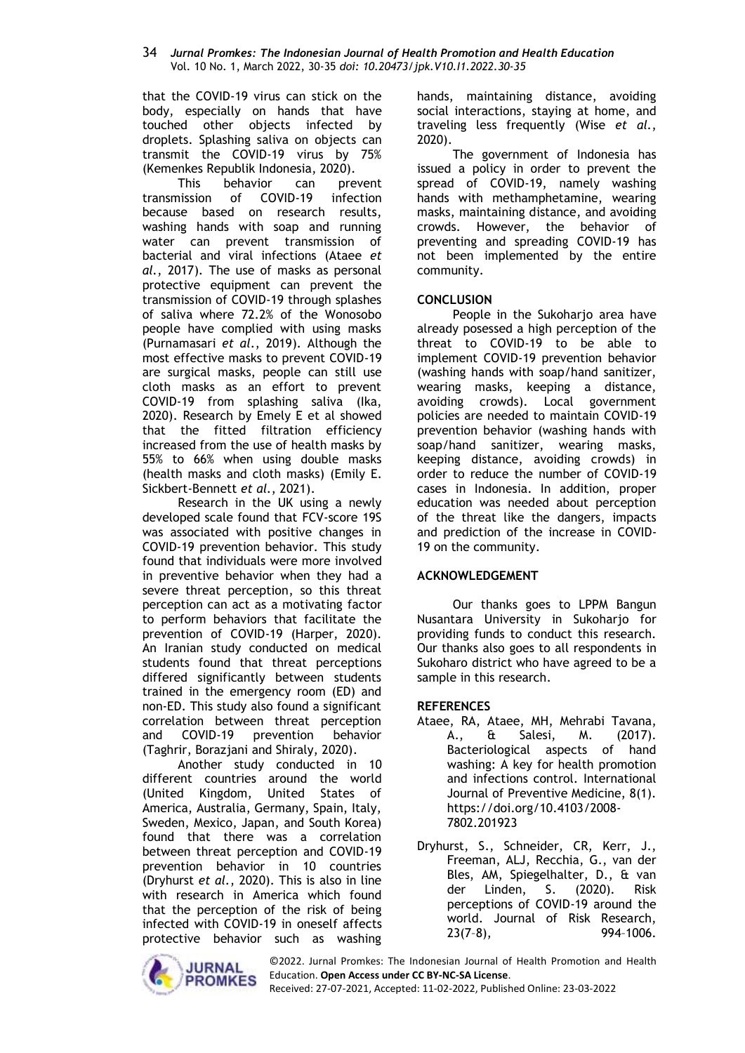#### 34 *Jurnal Promkes: The Indonesian Journal of Health Promotion and Health Education* Vol. 10 No. 1, March 2022, 30-35 *doi: 10.20473/jpk.V10.I1.2022.30-35*

that the COVID-19 virus can stick on the body, especially on hands that have touched other objects infected by droplets. Splashing saliva on objects can transmit the COVID-19 virus by 75% (Kemenkes Republik Indonesia, 2020).

This behavior can prevent transmission of COVID-19 infection because based on research results, washing hands with soap and running water can prevent transmission of bacterial and viral infections (Ataee *et al.*, 2017). The use of masks as personal protective equipment can prevent the transmission of COVID-19 through splashes of saliva where 72.2% of the Wonosobo people have complied with using masks (Purnamasari *et al.*, 2019). Although the most effective masks to prevent COVID-19 are surgical masks, people can still use cloth masks as an effort to prevent COVID-19 from splashing saliva (Ika, 2020). Research by Emely E et al showed that the fitted filtration efficiency increased from the use of health masks by 55% to 66% when using double masks (health masks and cloth masks) (Emily E. Sickbert-Bennett *et al.*, 2021).

Research in the UK using a newly developed scale found that FCV-score 19S was associated with positive changes in COVID-19 prevention behavior. This study found that individuals were more involved in preventive behavior when they had a severe threat perception, so this threat perception can act as a motivating factor to perform behaviors that facilitate the prevention of COVID-19 (Harper, 2020). An Iranian study conducted on medical students found that threat perceptions differed significantly between students trained in the emergency room (ED) and non-ED. This study also found a significant correlation between threat perception and COVID-19 prevention behavior (Taghrir, Borazjani and Shiraly, 2020).

Another study conducted in 10 different countries around the world (United Kingdom, United States of America, Australia, Germany, Spain, Italy, Sweden, Mexico, Japan, and South Korea) found that there was a correlation between threat perception and COVID-19 prevention behavior in 10 countries (Dryhurst *et al.*, 2020). This is also in line with research in America which found that the perception of the risk of being infected with COVID-19 in oneself affects protective behavior such as washing hands, maintaining distance, avoiding social interactions, staying at home, and traveling less frequently (Wise *et al.*, 2020).

The government of Indonesia has issued a policy in order to prevent the spread of COVID-19, namely washing hands with methamphetamine, wearing masks, maintaining distance, and avoiding crowds. However, the behavior of preventing and spreading COVID-19 has not been implemented by the entire community.

# **CONCLUSION**

People in the Sukoharjo area have already posessed a high perception of the threat to COVID-19 to be able to implement COVID-19 prevention behavior (washing hands with soap/hand sanitizer, wearing masks, keeping a distance, avoiding crowds). Local government policies are needed to maintain COVID-19 prevention behavior (washing hands with soap/hand sanitizer, wearing masks, keeping distance, avoiding crowds) in order to reduce the number of COVID-19 cases in Indonesia. In addition, proper education was needed about perception of the threat like the dangers, impacts and prediction of the increase in COVID-19 on the community.

### **ACKNOWLEDGEMENT**

Our thanks goes to LPPM Bangun Nusantara University in Sukoharjo for providing funds to conduct this research. Our thanks also goes to all respondents in Sukoharo district who have agreed to be a sample in this research.

# **REFERENCES**

- Ataee, RA, Ataee, MH, Mehrabi Tavana, A., & Salesi, M. (2017). Bacteriological aspects of hand washing: A key for health promotion and infections control. International Journal of Preventive Medicine, 8(1). [https://doi.org/10.4103/2008-](https://doi.org/10.4103/2008-7802.201923) [7802.201923](https://doi.org/10.4103/2008-7802.201923)
- Dryhurst, S., Schneider, CR, Kerr, J., Freeman, ALJ, Recchia, G., van der Bles, AM, Spiegelhalter, D., & van der Linden, S. (2020). Risk perceptions of COVID-19 around the world. Journal of Risk Research, 23(7–8), 994–1006.



©2022. Jurnal Promkes: The Indonesian Journal of Health Promotion and Health Education. **Open Access under CC BY-NC-SA License**.